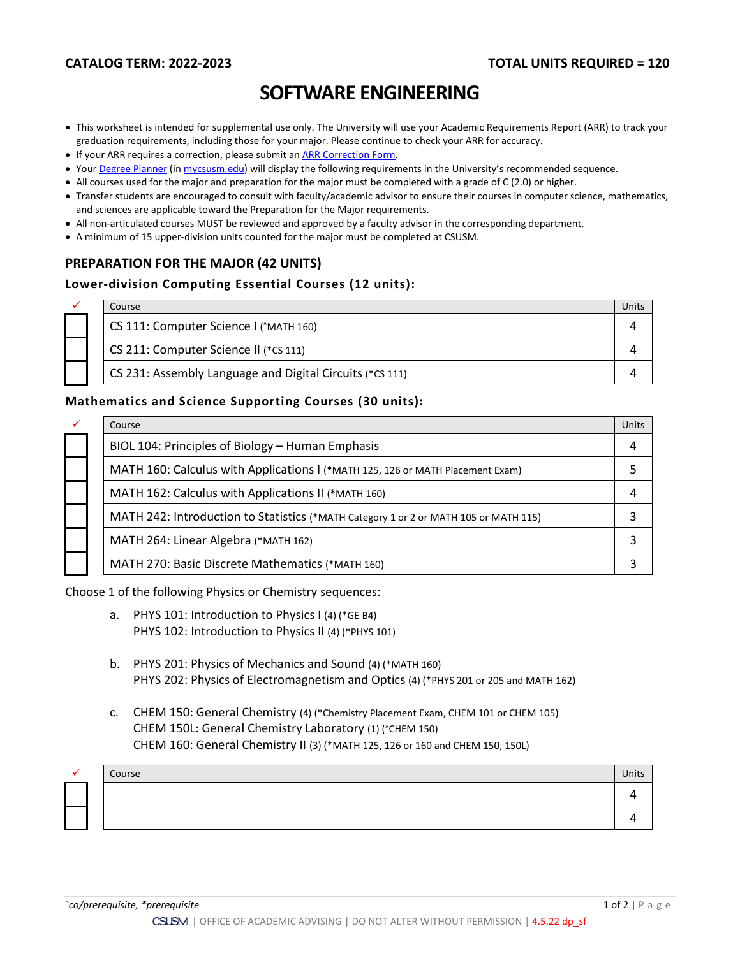# **SOFTWARE ENGINEERING**

- This worksheet is intended for supplemental use only. The University will use your Academic Requirements Report (ARR) to track your graduation requirements, including those for your major. Please continue to check your ARR for accuracy.
- If your ARR requires a correction, please submit an [ARR Correction Form.](http://www.csusm.edu/academicadvising/arrcorrection/index.html)
- You[r Degree Planner](https://www.csusm.edu/academicadvising/degreeplanner/index.html) (i[n mycsusm.edu\)](https://my.csusm.edu/) will display the following requirements in the University's recommended sequence.
- All courses used for the major and preparation for the major must be completed with a grade of C (2.0) or higher.
- Transfer students are encouraged to consult with faculty/academic advisor to ensure their courses in computer science, mathematics, and sciences are applicable toward the Preparation for the Major requirements.
- All non-articulated courses MUST be reviewed and approved by a faculty advisor in the corresponding department.
- A minimum of 15 upper-division units counted for the major must be completed at CSUSM.

# **PREPARATION FOR THE MAJOR (42 UNITS)**

### **Lower-division Computing Essential Courses (12 units):**

| ✓ | Course                                                   | Jnit: |
|---|----------------------------------------------------------|-------|
|   | CS 111: Computer Science I (^MATH 160)                   |       |
|   | CS 211: Computer Science II (*CS 111)                    |       |
|   | CS 231: Assembly Language and Digital Circuits (*CS 111) |       |

#### **Mathematics and Science Supporting Courses (30 units):**

| $\checkmark$ | Course                                                                               | Units |
|--------------|--------------------------------------------------------------------------------------|-------|
|              | BIOL 104: Principles of Biology - Human Emphasis                                     |       |
|              | MATH 160: Calculus with Applications I (*MATH 125, 126 or MATH Placement Exam)       |       |
|              | MATH 162: Calculus with Applications II (*MATH 160)                                  |       |
|              | MATH 242: Introduction to Statistics (*MATH Category 1 or 2 or MATH 105 or MATH 115) |       |
|              | MATH 264: Linear Algebra (*MATH 162)                                                 |       |
|              | MATH 270: Basic Discrete Mathematics (*MATH 160)                                     |       |

Choose 1 of the following Physics or Chemistry sequences:

- a. PHYS 101: Introduction to Physics I (4) (\*GE B4) PHYS 102: Introduction to Physics II (4) (\*PHYS 101)
- b. PHYS 201: Physics of Mechanics and Sound (4) (\*MATH 160) PHYS 202: Physics of Electromagnetism and Optics (4) (\*PHYS 201 or 205 and MATH 162)
- c. CHEM 150: General Chemistry (4) (\*Chemistry Placement Exam, CHEM 101 or CHEM 105) CHEM 150L: General Chemistry Laboratory (1) (^CHEM 150) CHEM 160: General Chemistry II (3) (\*MATH 125, 126 or 160 and CHEM 150, 150L)

|  | Course | Units |
|--|--------|-------|
|  |        |       |
|  |        |       |